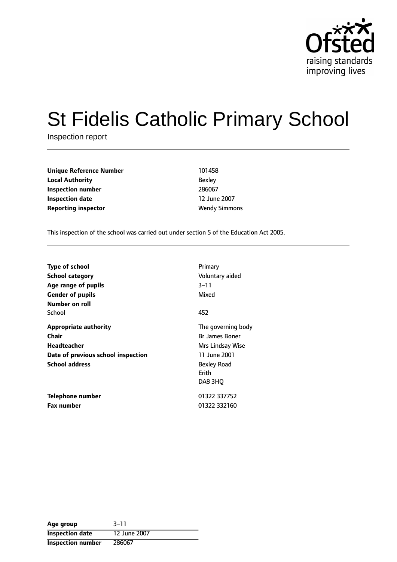

# St Fidelis Catholic Primary School

Inspection report

**Unique Reference Number** 101458 **Local Authority** Bexley **Inspection number** 286067 **Inspection date** 12 June 2007 **Reporting inspector Wendy Simmons** 

This inspection of the school was carried out under section 5 of the Education Act 2005.

| <b>Type of school</b><br>School category<br>Age range of pupils<br><b>Gender of pupils</b><br>Number on roll               | Primary<br>Voluntary aided<br>$3 - 11$<br>Mixed                                                                                  |
|----------------------------------------------------------------------------------------------------------------------------|----------------------------------------------------------------------------------------------------------------------------------|
| School                                                                                                                     | 452                                                                                                                              |
| <b>Appropriate authority</b><br>Chair<br><b>Headteacher</b><br>Date of previous school inspection<br><b>School address</b> | The governing body<br><b>Br James Boner</b><br>Mrs Lindsay Wise<br>11 June 2001<br><b>Bexley Road</b><br><b>Frith</b><br>DA8 3HO |
| Telephone number<br><b>Fax number</b>                                                                                      | 01322 337752<br>01322 332160                                                                                                     |

| Age group                | $3 - 11$     |
|--------------------------|--------------|
| <b>Inspection date</b>   | 12 June 2007 |
| <b>Inspection number</b> | 286067       |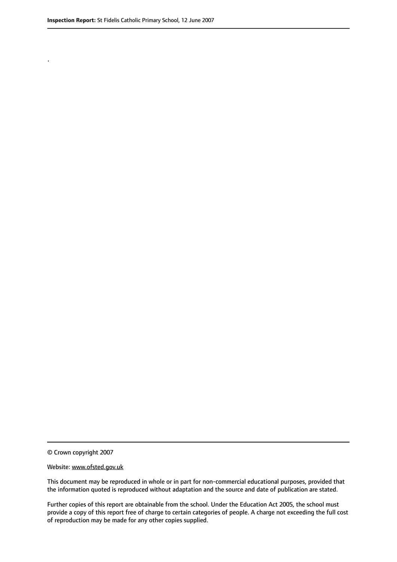.

© Crown copyright 2007

#### Website: www.ofsted.gov.uk

This document may be reproduced in whole or in part for non-commercial educational purposes, provided that the information quoted is reproduced without adaptation and the source and date of publication are stated.

Further copies of this report are obtainable from the school. Under the Education Act 2005, the school must provide a copy of this report free of charge to certain categories of people. A charge not exceeding the full cost of reproduction may be made for any other copies supplied.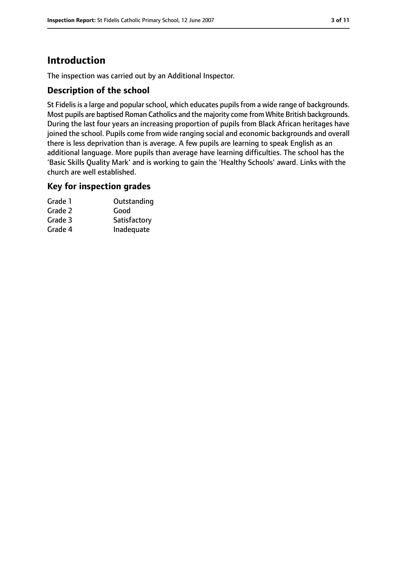# **Introduction**

The inspection was carried out by an Additional Inspector.

#### **Description of the school**

St Fidelis is a large and popular school, which educates pupils from a wide range of backgrounds. Most pupils are baptised Roman Catholics and the majority come from White British backgrounds. During the last four years an increasing proportion of pupils from Black African heritages have joined the school. Pupils come from wide ranging social and economic backgrounds and overall there is less deprivation than is average. A few pupils are learning to speak English as an additional language. More pupils than average have learning difficulties. The school has the 'Basic Skills Quality Mark' and is working to gain the 'Healthy Schools' award. Links with the church are well established.

#### **Key for inspection grades**

| Grade 1 | Outstanding  |
|---------|--------------|
| Grade 2 | Good         |
| Grade 3 | Satisfactory |
| Grade 4 | Inadequate   |
|         |              |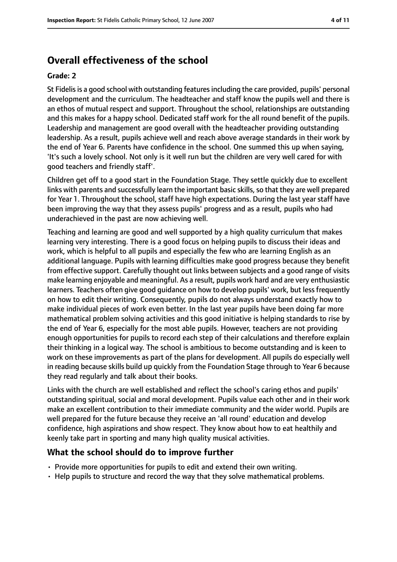# **Overall effectiveness of the school**

#### **Grade: 2**

St Fidelisis a good school with outstanding featuresincluding the care provided, pupils' personal development and the curriculum. The headteacher and staff know the pupils well and there is an ethos of mutual respect and support. Throughout the school, relationships are outstanding and this makes for a happy school. Dedicated staff work for the all round benefit of the pupils. Leadership and management are good overall with the headteacher providing outstanding leadership. As a result, pupils achieve well and reach above average standards in their work by the end of Year 6. Parents have confidence in the school. One summed this up when saying, 'It's such a lovely school. Not only is it well run but the children are very well cared for with good teachers and friendly staff'.

Children get off to a good start in the Foundation Stage. They settle quickly due to excellent links with parents and successfully learn the important basic skills, so that they are well prepared for Year 1. Throughout the school, staff have high expectations. During the last year staff have been improving the way that they assess pupils' progress and as a result, pupils who had underachieved in the past are now achieving well.

Teaching and learning are good and well supported by a high quality curriculum that makes learning very interesting. There is a good focus on helping pupils to discuss their ideas and work, which is helpful to all pupils and especially the few who are learning English as an additional language. Pupils with learning difficulties make good progress because they benefit from effective support. Carefully thought out links between subjects and a good range of visits make learning enjoyable and meaningful. As a result, pupils work hard and are very enthusiastic learners. Teachers often give good guidance on how to develop pupils' work, but less frequently on how to edit their writing. Consequently, pupils do not always understand exactly how to make individual pieces of work even better. In the last year pupils have been doing far more mathematical problem solving activities and this good initiative is helping standards to rise by the end of Year 6, especially for the most able pupils. However, teachers are not providing enough opportunities for pupils to record each step of their calculations and therefore explain their thinking in a logical way. The school is ambitious to become outstanding and is keen to work on these improvements as part of the plans for development. All pupils do especially well in reading because skills build up quickly from the Foundation Stage through to Year 6 because they read regularly and talk about their books.

Links with the church are well established and reflect the school's caring ethos and pupils' outstanding spiritual, social and moral development. Pupils value each other and in their work make an excellent contribution to their immediate community and the wider world. Pupils are well prepared for the future because they receive an 'all round' education and develop confidence, high aspirations and show respect. They know about how to eat healthily and keenly take part in sporting and many high quality musical activities.

#### **What the school should do to improve further**

- Provide more opportunities for pupils to edit and extend their own writing.
- Help pupils to structure and record the way that they solve mathematical problems.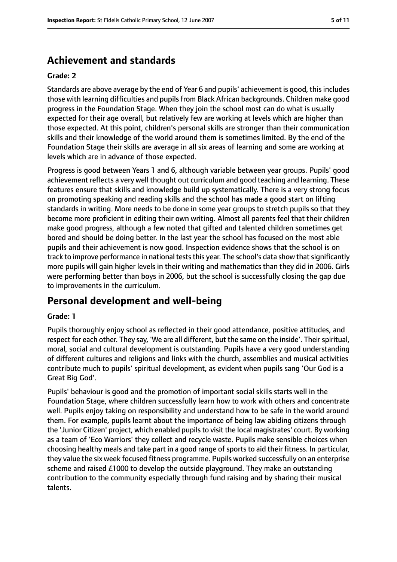# **Achievement and standards**

#### **Grade: 2**

Standards are above average by the end of Year 6 and pupils' achievement is good, thisincludes those with learning difficulties and pupilsfrom Black African backgrounds. Children make good progress in the Foundation Stage. When they join the school most can do what is usually expected for their age overall, but relatively few are working at levels which are higher than those expected. At this point, children's personal skills are stronger than their communication skills and their knowledge of the world around them is sometimes limited. By the end of the Foundation Stage their skills are average in all six areas of learning and some are working at levels which are in advance of those expected.

Progress is good between Years 1 and 6, although variable between year groups. Pupils' good achievement reflects a very well thought out curriculum and good teaching and learning. These features ensure that skills and knowledge build up systematically. There is a very strong focus on promoting speaking and reading skills and the school has made a good start on lifting standards in writing. More needs to be done in some year groups to stretch pupils so that they become more proficient in editing their own writing. Almost all parents feel that their children make good progress, although a few noted that gifted and talented children sometimes get bored and should be doing better. In the last year the school has focused on the most able pupils and their achievement is now good. Inspection evidence shows that the school is on track to improve performance in national tests this year. The school's data show that significantly more pupils will gain higher levels in their writing and mathematics than they did in 2006. Girls were performing better than boys in 2006, but the school is successfully closing the gap due to improvements in the curriculum.

# **Personal development and well-being**

#### **Grade: 1**

Pupils thoroughly enjoy school as reflected in their good attendance, positive attitudes, and respect for each other. They say, 'We are all different, but the same on the inside'. Their spiritual, moral, social and cultural development is outstanding. Pupils have a very good understanding of different cultures and religions and links with the church, assemblies and musical activities contribute much to pupils' spiritual development, as evident when pupils sang 'Our God is a Great Big God'.

Pupils' behaviour is good and the promotion of important social skills starts well in the Foundation Stage, where children successfully learn how to work with others and concentrate well. Pupils enjoy taking on responsibility and understand how to be safe in the world around them. For example, pupils learnt about the importance of being law abiding citizens through the 'Junior Citizen' project, which enabled pupils to visit the local magistrates' court. By working as a team of 'Eco Warriors' they collect and recycle waste. Pupils make sensible choices when choosing healthy meals and take part in a good range of sports to aid their fitness. In particular, they value the six week focused fitness programme. Pupils worked successfully on an enterprise scheme and raised £1000 to develop the outside playground. They make an outstanding contribution to the community especially through fund raising and by sharing their musical talents.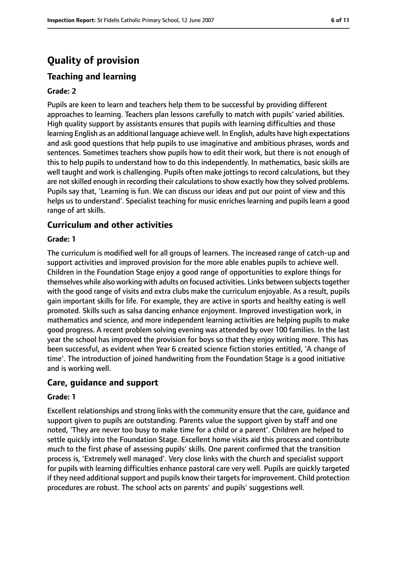# **Quality of provision**

### **Teaching and learning**

#### **Grade: 2**

Pupils are keen to learn and teachers help them to be successful by providing different approaches to learning. Teachers plan lessons carefully to match with pupils' varied abilities. High quality support by assistants ensures that pupils with learning difficulties and those learning English as an additional language achieve well. In English, adults have high expectations and ask good questions that help pupils to use imaginative and ambitious phrases, words and sentences. Sometimes teachers show pupils how to edit their work, but there is not enough of this to help pupils to understand how to do this independently. In mathematics, basic skills are well taught and work is challenging. Pupils often make jottings to record calculations, but they are not skilled enough in recording their calculations to show exactly how they solved problems. Pupils say that, 'Learning is fun. We can discuss our ideas and put our point of view and this helps us to understand'. Specialist teaching for music enriches learning and pupils learn a good range of art skills.

#### **Curriculum and other activities**

#### **Grade: 1**

The curriculum is modified well for all groups of learners. The increased range of catch-up and support activities and improved provision for the more able enables pupils to achieve well. Children in the Foundation Stage enjoy a good range of opportunities to explore things for themselves while also working with adults on focused activities. Links between subjects together with the good range of visits and extra clubs make the curriculum enjoyable. As a result, pupils gain important skills for life. For example, they are active in sports and healthy eating is well promoted. Skills such as salsa dancing enhance enjoyment. Improved investigation work, in mathematics and science, and more independent learning activities are helping pupils to make good progress. A recent problem solving evening was attended by over 100 families. In the last year the school has improved the provision for boys so that they enjoy writing more. This has been successful, as evident when Year 6 created science fiction stories entitled, 'A change of time'. The introduction of joined handwriting from the Foundation Stage is a good initiative and is working well.

#### **Care, guidance and support**

#### **Grade: 1**

Excellent relationships and strong links with the community ensure that the care, guidance and support given to pupils are outstanding. Parents value the support given by staff and one noted, 'They are never too busy to make time for a child or a parent'. Children are helped to settle quickly into the Foundation Stage. Excellent home visits aid this process and contribute much to the first phase of assessing pupils' skills. One parent confirmed that the transition process is, 'Extremely well managed'. Very close links with the church and specialist support for pupils with learning difficulties enhance pastoral care very well. Pupils are quickly targeted if they need additional support and pupils know their targets for improvement. Child protection procedures are robust. The school acts on parents' and pupils' suggestions well.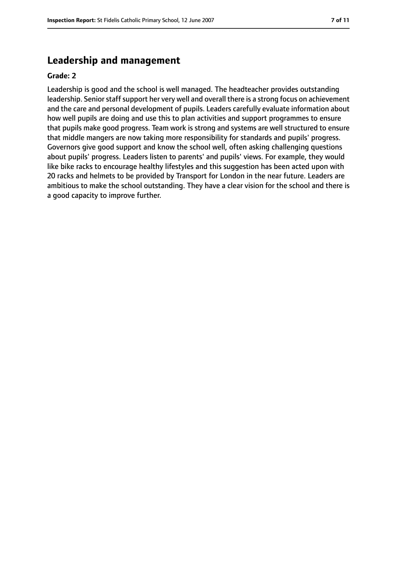### **Leadership and management**

#### **Grade: 2**

Leadership is good and the school is well managed. The headteacher provides outstanding leadership. Senior staff support her very well and overall there is a strong focus on achievement and the care and personal development of pupils. Leaders carefully evaluate information about how well pupils are doing and use this to plan activities and support programmes to ensure that pupils make good progress. Team work is strong and systems are well structured to ensure that middle mangers are now taking more responsibility for standards and pupils' progress. Governors give good support and know the school well, often asking challenging questions about pupils' progress. Leaders listen to parents' and pupils' views. For example, they would like bike racks to encourage healthy lifestyles and this suggestion has been acted upon with 20 racks and helmets to be provided by Transport for London in the near future. Leaders are ambitious to make the school outstanding. They have a clear vision for the school and there is a good capacity to improve further.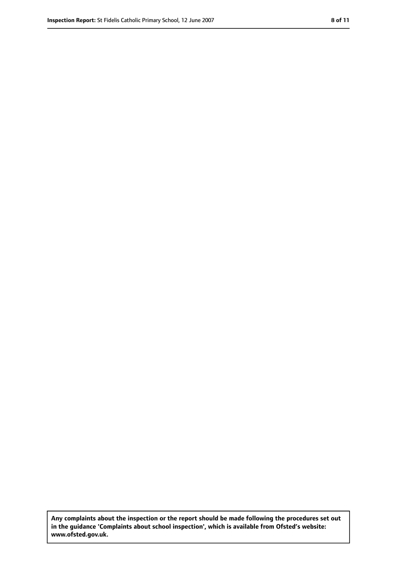**Any complaints about the inspection or the report should be made following the procedures set out in the guidance 'Complaints about school inspection', which is available from Ofsted's website: www.ofsted.gov.uk.**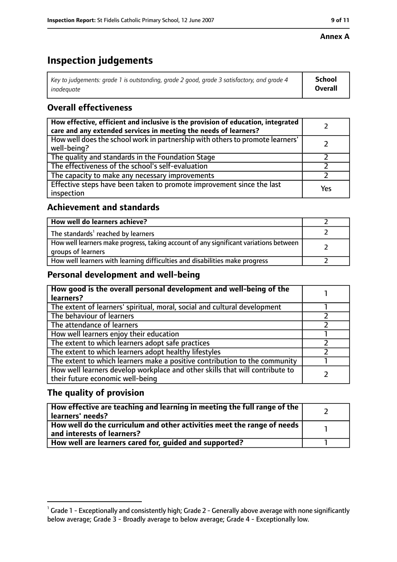#### **Annex A**

# **Inspection judgements**

| Key to judgements: grade 1 is outstanding, grade 2 good, grade 3 satisfactory, and grade 4 $\,$ | <b>School</b>  |
|-------------------------------------------------------------------------------------------------|----------------|
| inadequate                                                                                      | <b>Overall</b> |

### **Overall effectiveness**

| How effective, efficient and inclusive is the provision of education, integrated<br>care and any extended services in meeting the needs of learners? |     |
|------------------------------------------------------------------------------------------------------------------------------------------------------|-----|
| How well does the school work in partnership with others to promote learners'<br>well-being?                                                         |     |
| The quality and standards in the Foundation Stage                                                                                                    |     |
| The effectiveness of the school's self-evaluation                                                                                                    |     |
| The capacity to make any necessary improvements                                                                                                      |     |
| Effective steps have been taken to promote improvement since the last<br>inspection                                                                  | Yes |

#### **Achievement and standards**

| How well do learners achieve?                                                                               |  |
|-------------------------------------------------------------------------------------------------------------|--|
| The standards <sup>1</sup> reached by learners                                                              |  |
| How well learners make progress, taking account of any significant variations between<br>groups of learners |  |
| How well learners with learning difficulties and disabilities make progress                                 |  |

#### **Personal development and well-being**

| How good is the overall personal development and well-being of the<br>learners?                                  |  |
|------------------------------------------------------------------------------------------------------------------|--|
| The extent of learners' spiritual, moral, social and cultural development                                        |  |
| The behaviour of learners                                                                                        |  |
| The attendance of learners                                                                                       |  |
| How well learners enjoy their education                                                                          |  |
| The extent to which learners adopt safe practices                                                                |  |
| The extent to which learners adopt healthy lifestyles                                                            |  |
| The extent to which learners make a positive contribution to the community                                       |  |
| How well learners develop workplace and other skills that will contribute to<br>their future economic well-being |  |

#### **The quality of provision**

| How effective are teaching and learning in meeting the full range of the<br>learners' needs?          |  |
|-------------------------------------------------------------------------------------------------------|--|
| How well do the curriculum and other activities meet the range of needs<br>and interests of learners? |  |
| How well are learners cared for, quided and supported?                                                |  |

 $^1$  Grade 1 - Exceptionally and consistently high; Grade 2 - Generally above average with none significantly below average; Grade 3 - Broadly average to below average; Grade 4 - Exceptionally low.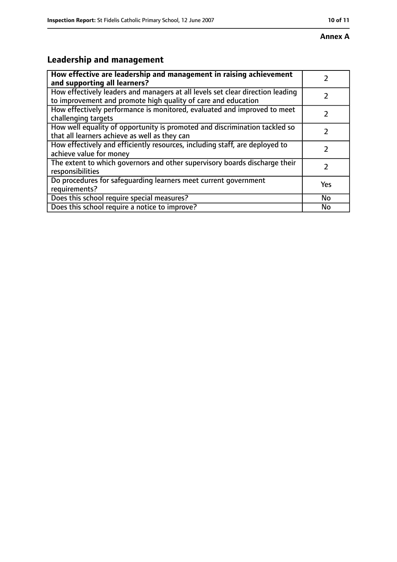# **Leadership and management**

| How effective are leadership and management in raising achievement<br>and supporting all learners?                                              |           |
|-------------------------------------------------------------------------------------------------------------------------------------------------|-----------|
| How effectively leaders and managers at all levels set clear direction leading<br>to improvement and promote high quality of care and education |           |
| How effectively performance is monitored, evaluated and improved to meet<br>challenging targets                                                 |           |
| How well equality of opportunity is promoted and discrimination tackled so<br>that all learners achieve as well as they can                     |           |
| How effectively and efficiently resources, including staff, are deployed to<br>achieve value for money                                          |           |
| The extent to which governors and other supervisory boards discharge their<br>responsibilities                                                  | 7         |
| Do procedures for safequarding learners meet current government<br>requirements?                                                                | Yes       |
| Does this school require special measures?                                                                                                      | <b>No</b> |
| Does this school require a notice to improve?                                                                                                   | No        |